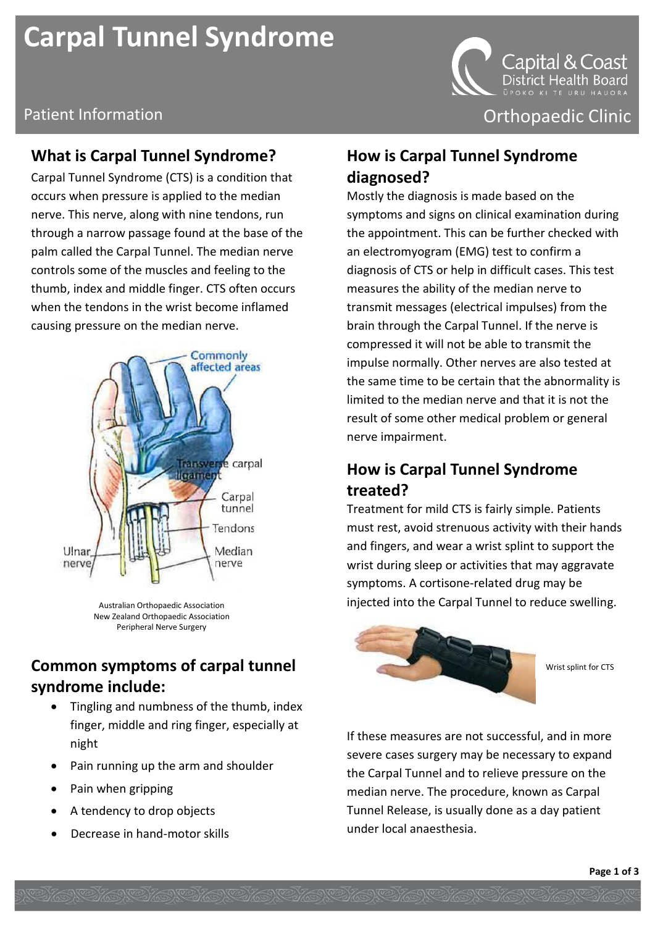# **Carpal Tunnel Syndrome**



Patient Information **Patient Information** Content Clinic Clinic Clinic Clinic

#### **What is Carpal Tunnel Syndrome?**

Carpal Tunnel Syndrome (CTS) is a condition that occurs when pressure is applied to the median nerve. This nerve, along with nine tendons, run through a narrow passage found at the base of the palm called the Carpal Tunnel. The median nerve controls some of the muscles and feeling to the thumb, index and middle finger. CTS often occurs when the tendons in the wrist become inflamed causing pressure on the median nerve.



Australian Orthopaedic Association New Zealand Orthopaedic Association Peripheral Nerve Surgery

### **Common symptoms of carpal tunnel syndrome include:**

 Tingling and numbness of the thumb, index finger, middle and ring finger, especially at night

WANCHANCHANCHANCHANCHANCHANCHANCH

- Pain running up the arm and shoulder
- Pain when gripping
- A tendency to drop objects
- Decrease in hand-motor skills

#### **How is Carpal Tunnel Syndrome diagnosed?**

Mostly the diagnosis is made based on the symptoms and signs on clinical examination during the appointment. This can be further checked with an electromyogram (EMG) test to confirm a diagnosis of CTS or help in difficult cases. This test measures the ability of the median nerve to transmit messages (electrical impulses) from the brain through the Carpal Tunnel. If the nerve is compressed it will not be able to transmit the impulse normally. Other nerves are also tested at the same time to be certain that the abnormality is limited to the median nerve and that it is not the result of some other medical problem or general nerve impairment.

#### **How is Carpal Tunnel Syndrome treated?**

Treatment for mild CTS is fairly simple. Patients must rest, avoid strenuous activity with their hands and fingers, and wear a wrist splint to support the wrist during sleep or activities that may aggravate symptoms. A cortisone-related drug may be injected into the Carpal Tunnel to reduce swelling.



Wrist splint for CTS

If these measures are not successful, and in more severe cases surgery may be necessary to expand the Carpal Tunnel and to relieve pressure on the median nerve. The procedure, known as Carpal Tunnel Release, is usually done as a day patient under local anaesthesia.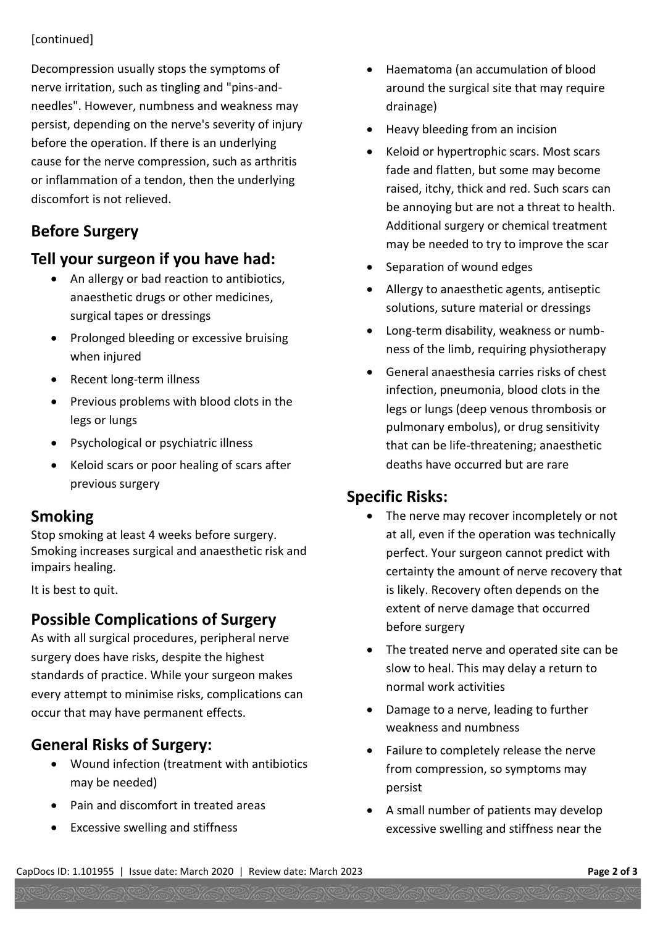#### [continued]

Decompression usually stops the symptoms of nerve irritation, such as tingling and "pins-andneedles". However, numbness and weakness may persist, depending on the nerve's severity of injury before the operation. If there is an underlying cause for the nerve compression, such as arthritis or inflammation of a tendon, then the underlying discomfort is not relieved.

# **Before Surgery**

#### **Tell your surgeon if you have had:**

- An allergy or bad reaction to antibiotics, anaesthetic drugs or other medicines, surgical tapes or dressings
- Prolonged bleeding or excessive bruising when injured
- Recent long-term illness
- Previous problems with blood clots in the legs or lungs
- Psychological or psychiatric illness
- Keloid scars or poor healing of scars after previous surgery

#### **Smoking**

Stop smoking at least 4 weeks before surgery. Smoking increases surgical and anaesthetic risk and impairs healing.

It is best to quit.

# **Possible Complications of Surgery**

As with all surgical procedures, peripheral nerve surgery does have risks, despite the highest standards of practice. While your surgeon makes every attempt to minimise risks, complications can occur that may have permanent effects.

# **General Risks of Surgery:**

- Wound infection (treatment with antibiotics may be needed)
- Pain and discomfort in treated areas
- Excessive swelling and stiffness
- Haematoma (an accumulation of blood around the surgical site that may require drainage)
- Heavy bleeding from an incision
- Keloid or hypertrophic scars. Most scars fade and flatten, but some may become raised, itchy, thick and red. Such scars can be annoying but are not a threat to health. Additional surgery or chemical treatment may be needed to try to improve the scar
- Separation of wound edges
- Allergy to anaesthetic agents, antiseptic solutions, suture material or dressings
- Long-term disability, weakness or numbness of the limb, requiring physiotherapy
- General anaesthesia carries risks of chest infection, pneumonia, blood clots in the legs or lungs (deep venous thrombosis or pulmonary embolus), or drug sensitivity that can be life-threatening; anaesthetic deaths have occurred but are rare

#### **Specific Risks:**

- The nerve may recover incompletely or not at all, even if the operation was technically perfect. Your surgeon cannot predict with certainty the amount of nerve recovery that is likely. Recovery often depends on the extent of nerve damage that occurred before surgery
- The treated nerve and operated site can be slow to heal. This may delay a return to normal work activities
- Damage to a nerve, leading to further weakness and numbness
- Failure to completely release the nerve from compression, so symptoms may persist
- A small number of patients may develop excessive swelling and stiffness near the